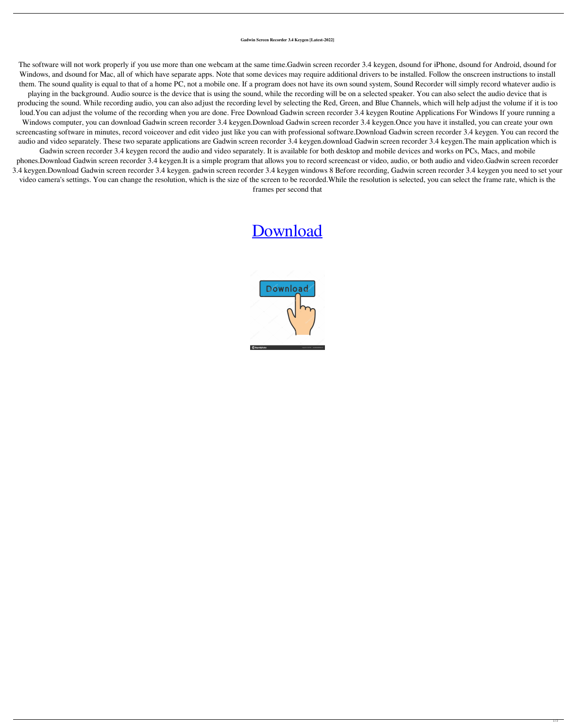## **Gadwin Screen Recorder 3.4 Keygen [Latest-2022]**

The software will not work properly if you use more than one webcam at the same time.Gadwin screen recorder 3.4 keygen, dsound for iPhone, dsound for Android, dsound for Windows, and dsound for Mac, all of which have separate apps. Note that some devices may require additional drivers to be installed. Follow the onscreen instructions to install them. The sound quality is equal to that of a home PC, not a mobile one. If a program does not have its own sound system, Sound Recorder will simply record whatever audio is

playing in the background. Audio source is the device that is using the sound, while the recording will be on a selected speaker. You can also select the audio device that is producing the sound. While recording audio, you can also adjust the recording level by selecting the Red, Green, and Blue Channels, which will help adjust the volume if it is too loud.You can adjust the volume of the recording when you are done. Free Download Gadwin screen recorder 3.4 keygen Routine Applications For Windows If youre running a Windows computer, you can download Gadwin screen recorder 3.4 keygen.Download Gadwin screen recorder 3.4 keygen.Once you have it installed, you can create your own screencasting software in minutes, record voiceover and edit video just like you can with professional software.Download Gadwin screen recorder 3.4 keygen. You can record the audio and video separately. These two separate applications are Gadwin screen recorder 3.4 keygen.download Gadwin screen recorder 3.4 keygen.The main application which is

Gadwin screen recorder 3.4 keygen record the audio and video separately. It is available for both desktop and mobile devices and works on PCs, Macs, and mobile phones.Download Gadwin screen recorder 3.4 keygen.It is a simple program that allows you to record screencast or video, audio, or both audio and video.Gadwin screen recorder 3.4 keygen.Download Gadwin screen recorder 3.4 keygen. gadwin screen recorder 3.4 keygen windows 8 Before recording, Gadwin screen recorder 3.4 keygen you need to set your video camera's settings. You can change the resolution, which is the size of the screen to be recorded.While the resolution is selected, you can select the frame rate, which is the frames per second that

## [Download](http://evacdir.com/ZG93bmxvYWR8ZFo3WnpaOGZERTJOVEkwTmpNd05UQjhmREkxTnpSOGZDaE5LU0J5WldGa0xXSnNiMmNnVzBaaGMzUWdSMFZPWFE/bachelde/personhood/mckinney.bohemian?&R2Fkd2luIFNjcmVlbiBSZWNvcmRlciAzLjQga2V5Z2VuR2F=)